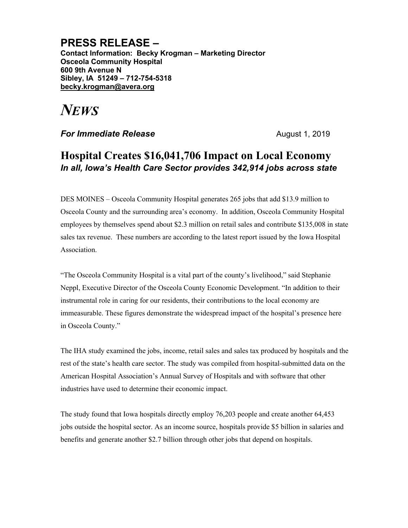## **PRESS RELEASE –**

**Contact Information: Becky Krogman – Marketing Director Osceola Community Hospital 600 9th Avenue N Sibley, IA 51249 – 712-754-5318 becky.krogman@avera.org**

## *NEWS*

**For Immediate Release August 1, 2019** 

## **Hospital Creates \$16,041,706 Impact on Local Economy** *In all, Iowa's Health Care Sector provides 342,914 jobs across state*

DES MOINES – Osceola Community Hospital generates 265 jobs that add \$13.9 million to Osceola County and the surrounding area's economy. In addition, Osceola Community Hospital employees by themselves spend about \$2.3 million on retail sales and contribute \$135,008 in state sales tax revenue. These numbers are according to the latest report issued by the Iowa Hospital Association.

"The Osceola Community Hospital is a vital part of the county's livelihood," said Stephanie Neppl, Executive Director of the Osceola County Economic Development. "In addition to their instrumental role in caring for our residents, their contributions to the local economy are immeasurable. These figures demonstrate the widespread impact of the hospital's presence here in Osceola County."

The IHA study examined the jobs, income, retail sales and sales tax produced by hospitals and the rest of the state's health care sector. The study was compiled from hospital-submitted data on the American Hospital Association's Annual Survey of Hospitals and with software that other industries have used to determine their economic impact.

The study found that Iowa hospitals directly employ 76,203 people and create another 64,453 jobs outside the hospital sector. As an income source, hospitals provide \$5 billion in salaries and benefits and generate another \$2.7 billion through other jobs that depend on hospitals.